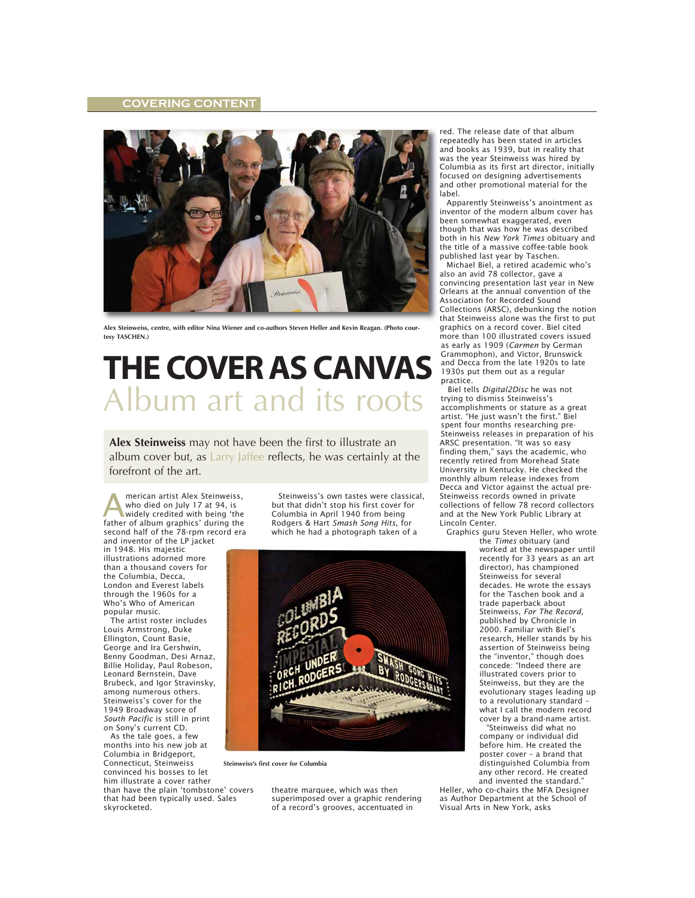## **COVERING CONTENT**



**Alex Steinweiss, centre, with editor Nina Wiener and co-authors Steven Heller and Kevin Reagan. (Photo courtesy TASCHEN.)**

## **THE COVER AS CANVAS** Album art and its roots

**Alex Steinweiss** may not have been the first to illustrate an album cover but, as Larry Jaffee reflects, he was certainly at the forefront of the art.

merican artist Alex Steinweiss, who died on July 17 at 94, is widely credited with being 'the **Father Album and School School School School School School School School School School School School School School School School School School School School School School School School School School School School School S** second half of the 78-rpm record era and inventor of the LP jacket

in 1948. His majestic illustrations adorned more than a thousand covers for the Columbia, Decca, London and Everest labels through the 1960s for a Who's Who of American popular music.

The artist roster includes Louis Armstrong, Duke Ellington, Count Basie, George and Ira Gershwin, Benny Goodman, Desi Arnaz, Billie Holiday, Paul Robeson, Leonard Bernstein, Dave Brubeck, and Igor Stravinsky, among numerous others. Steinweiss's cover for the 1949 Broadway score of *South Pacific* is still in print on Sony's current CD.

As the tale goes, a few months into his new job at Columbia in Bridgeport, Connecticut, Steinweiss convinced his bosses to let him illustrate a cover rather than have the plain 'tombstone' covers that had been typically used. Sales skyrocketed.

Steinweiss's own tastes were classical, but that didn't stop his first cover for Columbia in April 1940 from being Rodgers & Hart *Smash Song Hits*, for which he had a photograph taken of a



**Steinweiss's first cover for Columbia**

theatre marquee, which was then superimposed over a graphic rendering of a record's grooves, accentuated in

red. The release date of that album repeatedly has been stated in articles and books as 1939, but in reality that was the year Steinweiss was hired by Columbia as its first art director, initially focused on designing advertisements and other promotional material for the label.

Apparently Steinweiss's anointment as inventor of the modern album cover has been somewhat exaggerated, even though that was how he was described both in his *New York Times* obituary and the title of a massive coffee-table book published last year by Taschen.

Michael Biel, a retired academic who's also an avid 78 collector, gave a convincing presentation last year in New Orleans at the annual convention of the Association for Recorded Sound Collections (ARSC), debunking the notion that Steinweiss alone was the first to put graphics on a record cover. Biel cited more than 100 illustrated covers issued as early as 1909 (*Carmen* by German Grammophon), and Victor, Brunswick and Decca from the late 1920s to late 1930s put them out as a regular practice.

Biel tells *Digital2Disc* he was not trying to dismiss Steinweiss's accomplishments or stature as a great artist. "He just wasn't the first." Biel spent four months researching pre-Steinweiss releases in preparation of his ARSC presentation. "It was so easy finding them," says the academic, who recently retired from Morehead State University in Kentucky. He checked the monthly album release indexes from Decca and Victor against the actual pre-Steinweiss records owned in private collections of fellow 78 record collectors and at the New York Public Library at Lincoln Center.

Graphics guru Steven Heller, who wrote

the *Times* obituary (and worked at the newspaper until recently for 33 years as an art director), has championed Steinweiss for several decades. He wrote the essays for the Taschen book and a trade paperback about Steinweiss, *For The Record,* published by Chronicle in 2000. Familiar with Biel's research, Heller stands by his assertion of Steinweiss being the "inventor," though does concede: "Indeed there are illustrated covers prior to Steinweiss, but they are the evolutionary stages leading up to a revolutionary standard – what I call the modern record cover by a brand-name artist.

"Steinweiss did what no company or individual did before him. He created the poster cover – a brand that distinguished Columbia from any other record. He created and invented the standard."

Heller, who co-chairs the MFA Designer as Author Department at the School of Visual Arts in New York, asks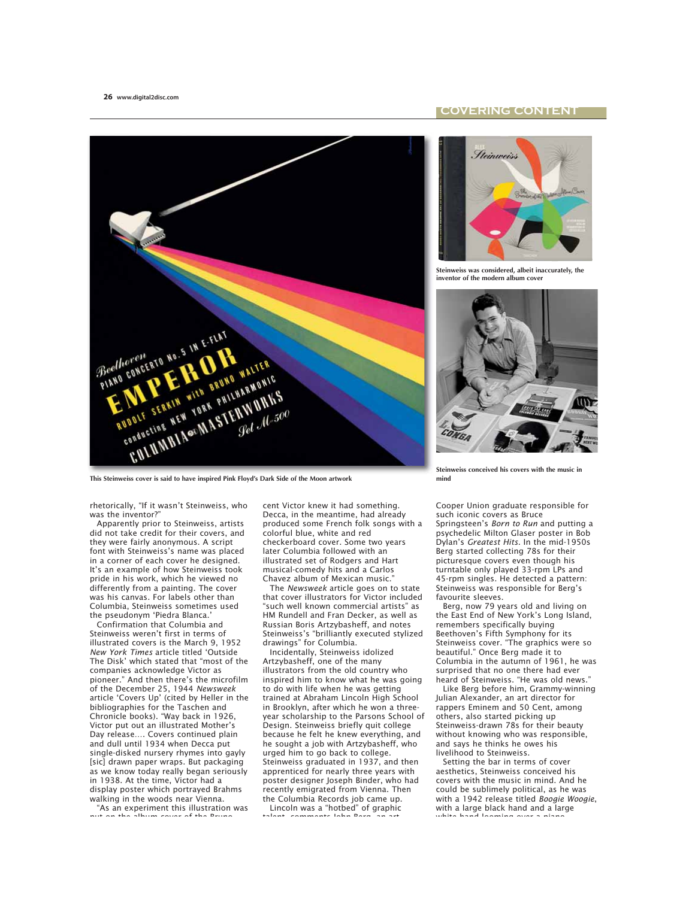## **COVERING CONTENT**



**This Steinweiss cover is said to have inspired Pink Floyd's Dark Side of the Moon artwork**

rhetorically, "If it wasn't Steinweiss, who was the inventor?"

Apparently prior to Steinweiss, artists did not take credit for their covers, and they were fairly anonymous. A script font with Steinweiss's name was placed in a corner of each cover he designed. It's an example of how Steinweiss took pride in his work, which he viewed no differently from a painting. The cover was his canvas. For labels other than Columbia, Steinweiss sometimes used the pseudonym 'Piedra Blanca.'

Confirmation that Columbia and Steinweiss weren't first in terms of illustrated covers is the March 9, 1952 *New York Times* article titled 'Outside The Disk' which stated that "most of the companies acknowledge Victor as pioneer." And then there's the microfilm of the December 25, 1944 *Newsweek* article 'Covers Up' (cited by Heller in the bibliographies for the Taschen and Chronicle books). "Way back in 1926, Victor put out an illustrated Mother's Day release Covers continued plain and dull until 1934 when Decca put single-disked nursery rhymes into gayly [sic] drawn paper wraps. But packaging as we know today really began seriously in 1938. At the time, Victor had a display poster which portrayed Brahms walking in the woods near Vienna. "As an experiment this illustration was

put on the album cover of the Bruno

cent Victor knew it had something. Decca, in the meantime, had already produced some French folk songs with a colorful blue, white and red checkerboard cover. Some two years later Columbia followed with an illustrated set of Rodgers and Hart musical-comedy hits and a Carlos Chavez album of Mexican music."

The *Newsweek* article goes on to state that cover illustrators for Victor included "such well known commercial artists" as HM Rundell and Fran Decker, as well as Russian Boris Artzybasheff, and notes Steinweiss's "brilliantly executed stylized drawings" for Columbia.

Incidentally, Steinweiss idolized Artzybasheff, one of the many illustrators from the old country who inspired him to know what he was going to do with life when he was getting trained at Abraham Lincoln High School in Brooklyn, after which he won a threeyear scholarship to the Parsons School of Design. Steinweiss briefly quit college because he felt he knew everything, and he sought a job with Artzybasheff, who urged him to go back to college. Steinweiss graduated in 1937, and then apprenticed for nearly three years with poster designer Joseph Binder, who had recently emigrated from Vienna. Then the Columbia Records job came up.

Lincoln was a "hotbed" of graphic talent, comments John Berg, an art



**Steinweiss was considered, albeit inaccurately, the inventor of the modern album cover**



**Steinweiss conceived his covers with the music in mind**

Cooper Union graduate responsible for such iconic covers as Bruce Springsteen's *Born to Run* and putting a psychedelic Milton Glaser poster in Bob Dylan's *Greatest Hits*. In the mid-1950s Berg started collecting 78s for their picturesque covers even though his turntable only played 33-rpm LPs and 45-rpm singles. He detected a pattern: Steinweiss was responsible for Berg's favourite sleeves.

Berg, now 79 years old and living on the East End of New York's Long Island, remembers specifically buying Beethoven's Fifth Symphony for its Steinweiss cover. "The graphics were so beautiful." Once Berg made it to Columbia in the autumn of 1961, he was surprised that no one there had ever heard of Steinweiss. "He was old news.

Like Berg before him, Grammy-winning Julian Alexander, an art director for rappers Eminem and 50 Cent, among others, also started picking up Steinweiss-drawn 78s for their beauty without knowing who was responsible, and says he thinks he owes his livelihood to Steinweiss.

Setting the bar in terms of cover aesthetics, Steinweiss conceived his covers with the music in mind. And he could be sublimely political, as he was with a 1942 release titled *Boogie Woogie*, with a large black hand and a large white hand looming over a piano,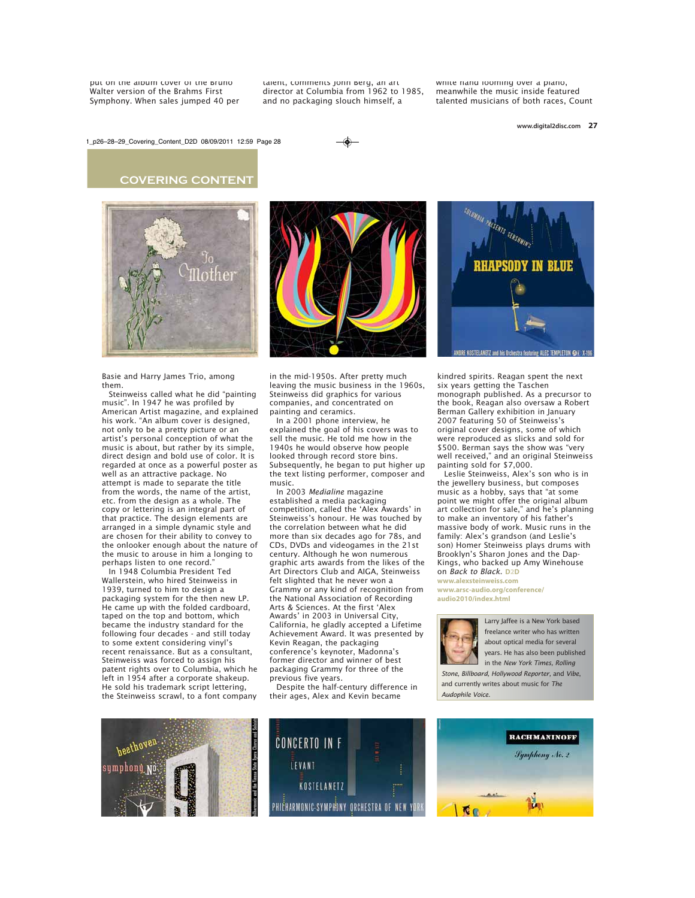put on the album cover or the Bruno Walter version of the Brahms First Symphony. When sales jumped 40 per talent, comments John Berg, an art director at Columbia from 1962 to 1985, and no packaging slouch himself, a

white hand looming over a piano, meanwhile the music inside featured talented musicians of both races, Count

1\_p26-28-29\_Covering\_Content\_D2D 08/09/2011 12:59 Page 28







Basie and Harry James Trio, among them.

Steinweiss called what he did "painting music". In 1947 he was profiled by American Artist magazine, and explained his work. "An album cover is designed, not only to be a pretty picture or an artist's personal conception of what the music is about, but rather by its simple, direct design and bold use of color. It is regarded at once as a powerful poster as well as an attractive package. No attempt is made to separate the title from the words, the name of the artist, etc. from the design as a whole. The copy or lettering is an integral part of that practice. The design elements are arranged in a simple dynamic style and are chosen for their ability to convey to the onlooker enough about the nature of the music to arouse in him a longing to perhaps listen to one record.

In 1948 Columbia President Ted Wallerstein, who hired Steinweiss in 1939, turned to him to design a packaging system for the then new LP. He came up with the folded cardboard, taped on the top and bottom, which became the industry standard for the following four decades - and still today to some extent considering vinyl's recent renaissance. But as a consultant, Steinweiss was forced to assign his patent rights over to Columbia, which he left in 1954 after a corporate shakeup. He sold his trademark script lettering, the Steinweiss scrawl, to a font company



in the mid-1950s. After pretty much leaving the music business in the 1960s, Steinweiss did graphics for various companies, and concentrated on painting and ceramics.

In a 2001 phone interview, he explained the goal of his covers was to sell the music. He told me how in the 1940s he would observe how people looked through record store bins. Subsequently, he began to put higher up the text listing performer, composer and music.

In 2003 *Medialine* magazine established a media packaging competition, called the 'Alex Awards' in Steinweiss's honour. He was touched by the correlation between what he did more than six decades ago for 78s, and CDs, DVDs and videogames in the 21st century. Although he won numerous graphic arts awards from the likes of the Art Directors Club and AIGA, Steinweiss felt slighted that he never won a Grammy or any kind of recognition from the National Association of Recording Arts & Sciences. At the first 'Alex Awards' in 2003 in Universal City, California, he gladly accepted a Lifetime Achievement Award. It was presented by Kevin Reagan, the packaging conference's keynoter, Madonna's former director and winner of best packaging Grammy for three of the previous five years.

Despite the half-century difference in their ages, Alex and Kevin became



kindred spirits. Reagan spent the next six years getting the Taschen monograph published. As a precursor to the book, Reagan also oversaw a Robert Berman Gallery exhibition in January 2007 featuring 50 of Steinweiss's original cover designs, some of which were reproduced as slicks and sold for \$500. Berman says the show was "very well received," and an original Steinweiss painting sold for \$7,000.

Leslie Steinweiss, Alex's son who is in the jewellery business, but composes music as a hobby, says that "at some point we might offer the original album art collection for sale," and he's planning to make an inventory of his father's massive body of work. Music runs in the family: Alex's grandson (and Leslie's son) Homer Steinweiss plays drums with Brooklyn's Sharon Jones and the Dap-Kings, who backed up Amy Winehouse on *Back to Black*. **D2D www.alexsteinweiss.com**

**www.arsc-audio.org/conference/ audio2010/index.html**



Larry Jaffee is a New York based freelance writer who has written about optical media for several years. He has also been published in the *New York Times, Rolling*

*Stone, Billboard, Hollywood Reporter,* and *Vibe*, and currently writes about music for *The Audophile Voice.*